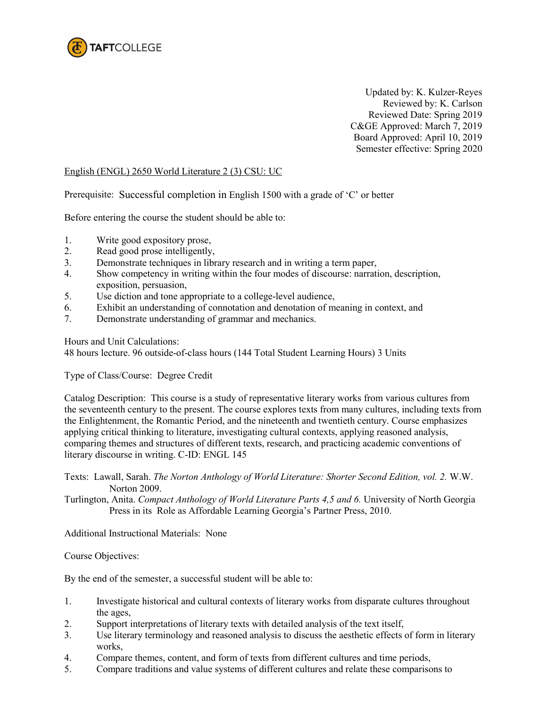

Updated by: K. Kulzer-Reyes Reviewed by: K. Carlson Reviewed Date: Spring 2019 C&GE Approved: March 7, 2019 Board Approved: April 10, 2019 Semester effective: Spring 2020

## English (ENGL) 2650 World Literature 2 (3) CSU: UC

Prerequisite: Successful completion in English 1500 with a grade of 'C' or better

Before entering the course the student should be able to:

- 1. Write good expository prose,
- 2. Read good prose intelligently,
- 3. Demonstrate techniques in library research and in writing a term paper,
- 4. Show competency in writing within the four modes of discourse: narration, description, exposition, persuasion,
- 5. Use diction and tone appropriate to a college-level audience,<br>6. Exhibit an understanding of connotation and denotation of m
- Exhibit an understanding of connotation and denotation of meaning in context, and
- 7. Demonstrate understanding of grammar and mechanics.

Hours and Unit Calculations:

48 hours lecture. 96 outside-of-class hours (144 Total Student Learning Hours) 3 Units

Type of Class/Course: Degree Credit

Catalog Description: This course is a study of representative literary works from various cultures from the seventeenth century to the present. The course explores texts from many cultures, including texts from the Enlightenment, the Romantic Period, and the nineteenth and twentieth century. Course emphasizes applying critical thinking to literature, investigating cultural contexts, applying reasoned analysis, comparing themes and structures of different texts, research, and practicing academic conventions of literary discourse in writing. C-ID: ENGL 145

Texts: Lawall, Sarah. *The Norton Anthology of World Literature: Shorter Second Edition, vol. 2.* W.W. Norton 2009.

Turlington, Anita. *Compact Anthology of World Literature Parts 4,5 and 6.* University of North Georgia Press in its Role as Affordable Learning Georgia's Partner Press, 2010.

Additional Instructional Materials: None

Course Objectives:

By the end of the semester, a successful student will be able to:

- 1. Investigate historical and cultural contexts of literary works from disparate cultures throughout the ages,
- 2. Support interpretations of literary texts with detailed analysis of the text itself,
- 3. Use literary terminology and reasoned analysis to discuss the aesthetic effects of form in literary works,
- 4. Compare themes, content, and form of texts from different cultures and time periods,
- 5. Compare traditions and value systems of different cultures and relate these comparisons to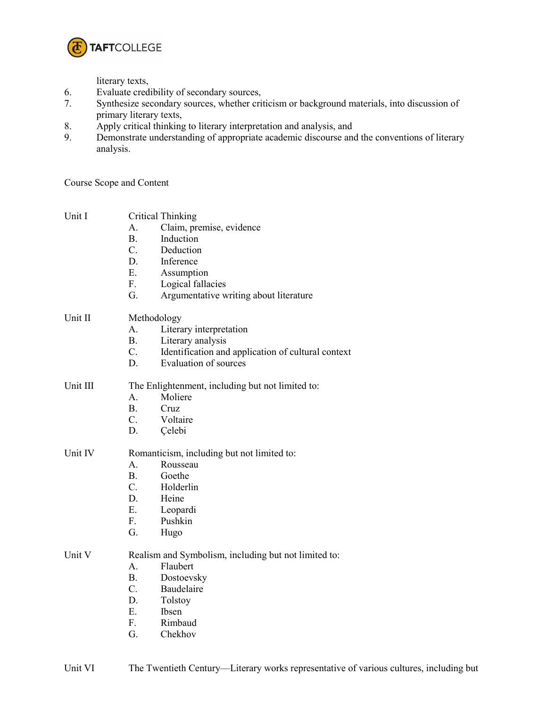

literary texts,

- 6. Evaluate credibility of secondary sources,<br>7. Synthesize secondary sources, whether cri-
- Synthesize secondary sources, whether criticism or background materials, into discussion of primary literary texts,
- 8. Apply critical thinking to literary interpretation and analysis, and
- 9. Demonstrate understanding of appropriate academic discourse and the conventions of literary analysis.

Course Scope and Content

| Unit I   | <b>Critical Thinking</b><br>Claim, premise, evidence<br>А.<br><b>B.</b><br>Induction<br>$C_{\cdot}$<br>Deduction<br>D.<br>Inference<br>E.<br>Assumption<br>F.<br>Logical fallacies<br>G.<br>Argumentative writing about literature |
|----------|------------------------------------------------------------------------------------------------------------------------------------------------------------------------------------------------------------------------------------|
| Unit II  | Methodology<br>Literary interpretation<br>$A_{-}$<br><b>B.</b><br>Literary analysis<br>$C_{\cdot}$<br>Identification and application of cultural context<br>Evaluation of sources<br>D.                                            |
| Unit III | The Enlightenment, including but not limited to:<br>A.<br>Moliere<br><b>B.</b><br>Cruz<br>$C_{\cdot}$<br>Voltaire<br>D.<br>Çelebi                                                                                                  |
| Unit IV  | Romanticism, including but not limited to:<br>A.<br>Rousseau<br>$B_{-}$<br>Goethe<br>$C_{\cdot}$<br>Holderlin<br>D.<br>Heine<br>E.<br>Leopardi<br>Pushkin<br>F.<br>G.<br>Hugo                                                      |
| Unit V   | Realism and Symbolism, including but not limited to:<br>A.<br>Flaubert<br>B.<br>Dostoevsky<br>$C_{\cdot}$<br>Baudelaire<br>D.<br>Tolstoy<br>Ε.<br><b>Ibsen</b><br>F.<br>Rimbaud<br>G.<br>Chekhov                                   |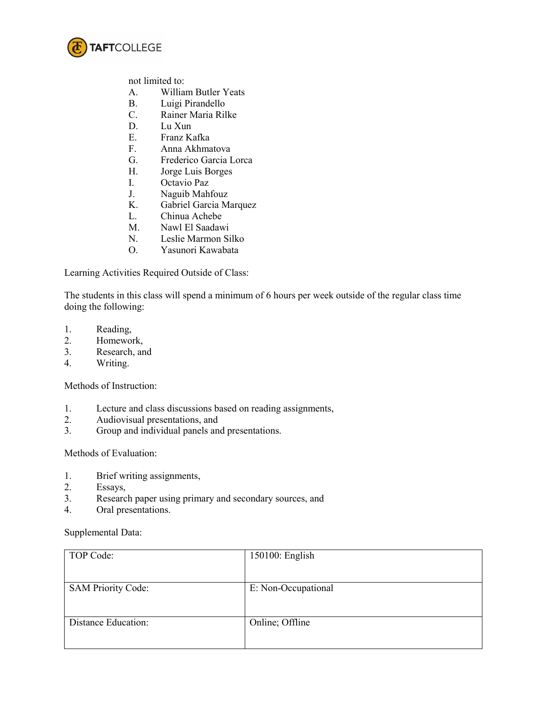

not limited to:

- A. William Butler Yeats
- B. Luigi Pirandello
- C. Rainer Maria Rilke
- D. Lu Xun
- E. Franz Kafka
- F. Anna Akhmatova
- G. Frederico Garcia Lorca
- H. Jorge Luis Borges<br>I. Octavio Paz
- Octavio Paz
- J. Naguib Mahfouz
- K. Gabriel Garcia Marquez
- L. Chinua Achebe
- M. Nawl El Saadawi
- N. Leslie Marmon Silko
- O. Yasunori Kawabata

Learning Activities Required Outside of Class:

The students in this class will spend a minimum of 6 hours per week outside of the regular class time doing the following:

- 1. Reading,
- 2. Homework,
- 3. Research, and
- 4. Writing.

Methods of Instruction:

- 1. Lecture and class discussions based on reading assignments,
- 2. Audiovisual presentations, and<br>3. Group and individual panels and
- Group and individual panels and presentations.

Methods of Evaluation:

- 1. Brief writing assignments,
- 2. Essays,
- 3. Research paper using primary and secondary sources, and
- 4. Oral presentations.

Supplemental Data:

| TOP Code:                 | 150100: English     |
|---------------------------|---------------------|
| <b>SAM Priority Code:</b> | E: Non-Occupational |
| Distance Education:       | Online; Offline     |